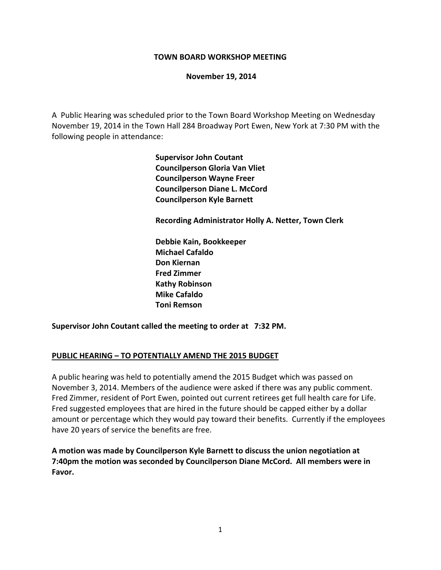#### **TOWN BOARD WORKSHOP MEETING**

#### **November 19, 2014**

A Public Hearing was scheduled prior to the Town Board Workshop Meeting on Wednesday November 19, 2014 in the Town Hall 284 Broadway Port Ewen, New York at 7:30 PM with the following people in attendance:

> **Supervisor John Coutant Councilperson Gloria Van Vliet Councilperson Wayne Freer Councilperson Diane L. McCord Councilperson Kyle Barnett**

 **Recording Administrator Holly A. Netter, Town Clerk**

 **Debbie Kain, Bookkeeper Michael Cafaldo Don Kiernan Fred Zimmer Kathy Robinson Mike Cafaldo Toni Remson** 

**Supervisor John Coutant called the meeting to order at 7:32 PM.**

### **PUBLIC HEARING – TO POTENTIALLY AMEND THE 2015 BUDGET**

A public hearing was held to potentially amend the 2015 Budget which was passed on November 3, 2014. Members of the audience were asked if there was any public comment. Fred Zimmer, resident of Port Ewen, pointed out current retirees get full health care for Life. Fred suggested employees that are hired in the future should be capped either by a dollar amount or percentage which they would pay toward their benefits. Currently if the employees have 20 years of service the benefits are free.

**A motion was made by Councilperson Kyle Barnett to discuss the union negotiation at 7:40pm the motion was seconded by Councilperson Diane McCord. All members were in Favor.**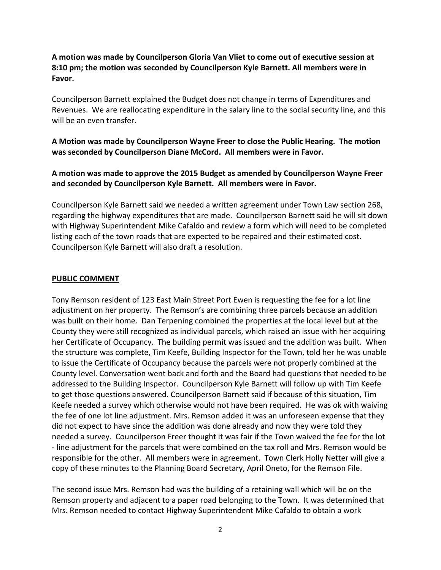**A motion was made by Councilperson Gloria Van Vliet to come out of executive session at 8:10 pm; the motion was seconded by Councilperson Kyle Barnett. All members were in Favor.**

Councilperson Barnett explained the Budget does not change in terms of Expenditures and Revenues. We are reallocating expenditure in the salary line to the social security line, and this will be an even transfer.

## **A Motion was made by Councilperson Wayne Freer to close the Public Hearing. The motion was seconded by Councilperson Diane McCord. All members were in Favor.**

# **A motion was made to approve the 2015 Budget as amended by Councilperson Wayne Freer and seconded by Councilperson Kyle Barnett. All members were in Favor.**

Councilperson Kyle Barnett said we needed a written agreement under Town Law section 268, regarding the highway expenditures that are made. Councilperson Barnett said he will sit down with Highway Superintendent Mike Cafaldo and review a form which will need to be completed listing each of the town roads that are expected to be repaired and their estimated cost. Councilperson Kyle Barnett will also draft a resolution.

### **PUBLIC COMMENT**

Tony Remson resident of 123 East Main Street Port Ewen is requesting the fee for a lot line adjustment on her property. The Remson's are combining three parcels because an addition was built on their home. Dan Terpening combined the properties at the local level but at the County they were still recognized as individual parcels, which raised an issue with her acquiring her Certificate of Occupancy. The building permit was issued and the addition was built. When the structure was complete, Tim Keefe, Building Inspector for the Town, told her he was unable to issue the Certificate of Occupancy because the parcels were not properly combined at the County level. Conversation went back and forth and the Board had questions that needed to be addressed to the Building Inspector. Councilperson Kyle Barnett will follow up with Tim Keefe to get those questions answered. Councilperson Barnett said if because of this situation, Tim Keefe needed a survey which otherwise would not have been required. He was ok with waiving the fee of one lot line adjustment. Mrs. Remson added it was an unforeseen expense that they did not expect to have since the addition was done already and now they were told they needed a survey. Councilperson Freer thought it was fair if the Town waived the fee for the lot ‐ line adjustment for the parcels that were combined on the tax roll and Mrs. Remson would be responsible for the other. All members were in agreement. Town Clerk Holly Netter will give a copy of these minutes to the Planning Board Secretary, April Oneto, for the Remson File.

The second issue Mrs. Remson had was the building of a retaining wall which will be on the Remson property and adjacent to a paper road belonging to the Town. It was determined that Mrs. Remson needed to contact Highway Superintendent Mike Cafaldo to obtain a work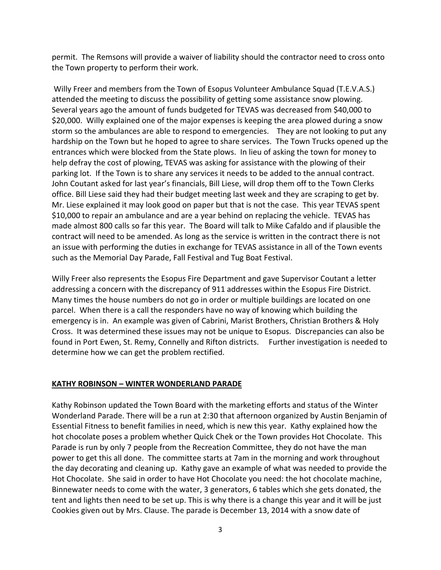permit. The Remsons will provide a waiver of liability should the contractor need to cross onto the Town property to perform their work.

Willy Freer and members from the Town of Esopus Volunteer Ambulance Squad (T.E.V.A.S.) attended the meeting to discuss the possibility of getting some assistance snow plowing. Several years ago the amount of funds budgeted for TEVAS was decreased from \$40,000 to \$20,000. Willy explained one of the major expenses is keeping the area plowed during a snow storm so the ambulances are able to respond to emergencies. They are not looking to put any hardship on the Town but he hoped to agree to share services. The Town Trucks opened up the entrances which were blocked from the State plows. In lieu of asking the town for money to help defray the cost of plowing, TEVAS was asking for assistance with the plowing of their parking lot. If the Town is to share any services it needs to be added to the annual contract. John Coutant asked for last year's financials, Bill Liese, will drop them off to the Town Clerks office. Bill Liese said they had their budget meeting last week and they are scraping to get by. Mr. Liese explained it may look good on paper but that is not the case. This year TEVAS spent \$10,000 to repair an ambulance and are a year behind on replacing the vehicle. TEVAS has made almost 800 calls so far this year. The Board will talk to Mike Cafaldo and if plausible the contract will need to be amended. As long as the service is written in the contract there is not an issue with performing the duties in exchange for TEVAS assistance in all of the Town events such as the Memorial Day Parade, Fall Festival and Tug Boat Festival.

Willy Freer also represents the Esopus Fire Department and gave Supervisor Coutant a letter addressing a concern with the discrepancy of 911 addresses within the Esopus Fire District. Many times the house numbers do not go in order or multiple buildings are located on one parcel. When there is a call the responders have no way of knowing which building the emergency is in. An example was given of Cabrini, Marist Brothers, Christian Brothers & Holy Cross. It was determined these issues may not be unique to Esopus. Discrepancies can also be found in Port Ewen, St. Remy, Connelly and Rifton districts. Further investigation is needed to determine how we can get the problem rectified.

### **KATHY ROBINSON – WINTER WONDERLAND PARADE**

Kathy Robinson updated the Town Board with the marketing efforts and status of the Winter Wonderland Parade. There will be a run at 2:30 that afternoon organized by Austin Benjamin of Essential Fitness to benefit families in need, which is new this year. Kathy explained how the hot chocolate poses a problem whether Quick Chek or the Town provides Hot Chocolate. This Parade is run by only 7 people from the Recreation Committee, they do not have the man power to get this all done. The committee starts at 7am in the morning and work throughout the day decorating and cleaning up. Kathy gave an example of what was needed to provide the Hot Chocolate. She said in order to have Hot Chocolate you need: the hot chocolate machine, Binnewater needs to come with the water, 3 generators, 6 tables which she gets donated, the tent and lights then need to be set up. This is why there is a change this year and it will be just Cookies given out by Mrs. Clause. The parade is December 13, 2014 with a snow date of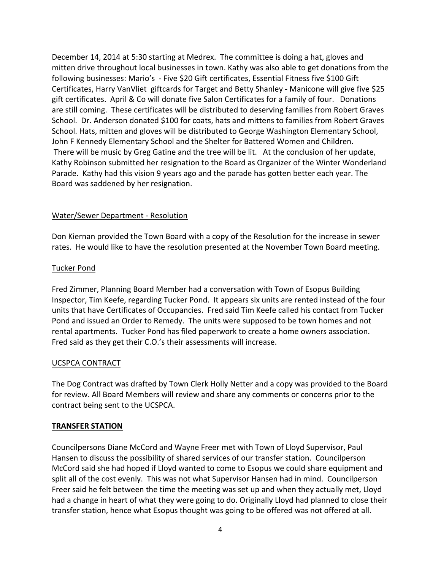December 14, 2014 at 5:30 starting at Medrex. The committee is doing a hat, gloves and mitten drive throughout local businesses in town. Kathy was also able to get donations from the following businesses: Mario's ‐ Five \$20 Gift certificates, Essential Fitness five \$100 Gift Certificates, Harry VanVliet giftcards for Target and Betty Shanley ‐ Manicone will give five \$25 gift certificates. April & Co will donate five Salon Certificates for a family of four. Donations are still coming. These certificates will be distributed to deserving families from Robert Graves School. Dr. Anderson donated \$100 for coats, hats and mittens to families from Robert Graves School. Hats, mitten and gloves will be distributed to George Washington Elementary School, John F Kennedy Elementary School and the Shelter for Battered Women and Children. There will be music by Greg Gatine and the tree will be lit. At the conclusion of her update, Kathy Robinson submitted her resignation to the Board as Organizer of the Winter Wonderland Parade. Kathy had this vision 9 years ago and the parade has gotten better each year. The Board was saddened by her resignation.

### Water/Sewer Department ‐ Resolution

Don Kiernan provided the Town Board with a copy of the Resolution for the increase in sewer rates. He would like to have the resolution presented at the November Town Board meeting.

### Tucker Pond

Fred Zimmer, Planning Board Member had a conversation with Town of Esopus Building Inspector, Tim Keefe, regarding Tucker Pond. It appears six units are rented instead of the four units that have Certificates of Occupancies. Fred said Tim Keefe called his contact from Tucker Pond and issued an Order to Remedy. The units were supposed to be town homes and not rental apartments. Tucker Pond has filed paperwork to create a home owners association. Fred said as they get their C.O.'s their assessments will increase.

## UCSPCA CONTRACT

The Dog Contract was drafted by Town Clerk Holly Netter and a copy was provided to the Board for review. All Board Members will review and share any comments or concerns prior to the contract being sent to the UCSPCA.

### **TRANSFER STATION**

Councilpersons Diane McCord and Wayne Freer met with Town of Lloyd Supervisor, Paul Hansen to discuss the possibility of shared services of our transfer station. Councilperson McCord said she had hoped if Lloyd wanted to come to Esopus we could share equipment and split all of the cost evenly. This was not what Supervisor Hansen had in mind. Councilperson Freer said he felt between the time the meeting was set up and when they actually met, Lloyd had a change in heart of what they were going to do. Originally Lloyd had planned to close their transfer station, hence what Esopus thought was going to be offered was not offered at all.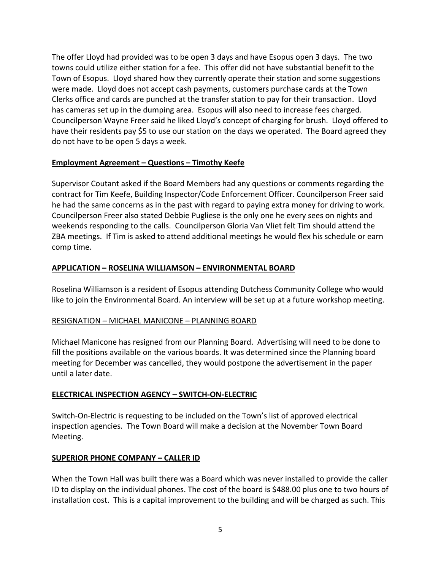The offer Lloyd had provided was to be open 3 days and have Esopus open 3 days. The two towns could utilize either station for a fee. This offer did not have substantial benefit to the Town of Esopus. Lloyd shared how they currently operate their station and some suggestions were made. Lloyd does not accept cash payments, customers purchase cards at the Town Clerks office and cards are punched at the transfer station to pay for their transaction. Lloyd has cameras set up in the dumping area. Esopus will also need to increase fees charged. Councilperson Wayne Freer said he liked Lloyd's concept of charging for brush. Lloyd offered to have their residents pay \$5 to use our station on the days we operated. The Board agreed they do not have to be open 5 days a week.

## **Employment Agreement – Questions – Timothy Keefe**

Supervisor Coutant asked if the Board Members had any questions or comments regarding the contract for Tim Keefe, Building Inspector/Code Enforcement Officer. Councilperson Freer said he had the same concerns as in the past with regard to paying extra money for driving to work. Councilperson Freer also stated Debbie Pugliese is the only one he every sees on nights and weekends responding to the calls. Councilperson Gloria Van Vliet felt Tim should attend the ZBA meetings. If Tim is asked to attend additional meetings he would flex his schedule or earn comp time.

### **APPLICATION – ROSELINA WILLIAMSON – ENVIRONMENTAL BOARD**

Roselina Williamson is a resident of Esopus attending Dutchess Community College who would like to join the Environmental Board. An interview will be set up at a future workshop meeting.

## RESIGNATION – MICHAEL MANICONE – PLANNING BOARD

Michael Manicone has resigned from our Planning Board. Advertising will need to be done to fill the positions available on the various boards. It was determined since the Planning board meeting for December was cancelled, they would postpone the advertisement in the paper until a later date.

## **ELECTRICAL INSPECTION AGENCY – SWITCH‐ON‐ELECTRIC**

Switch‐On‐Electric is requesting to be included on the Town's list of approved electrical inspection agencies. The Town Board will make a decision at the November Town Board Meeting.

### **SUPERIOR PHONE COMPANY – CALLER ID**

When the Town Hall was built there was a Board which was never installed to provide the caller ID to display on the individual phones. The cost of the board is \$488.00 plus one to two hours of installation cost. This is a capital improvement to the building and will be charged as such. This